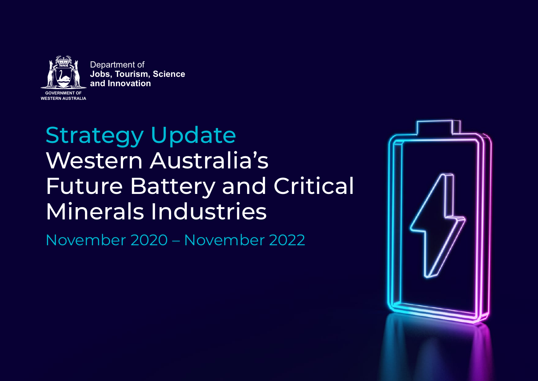

Department of **Jobs, Tourism, Science and Innovation**

# Strategy Update Western Australia's Future Battery and Critical Minerals Industries

November 2020 – November 2022

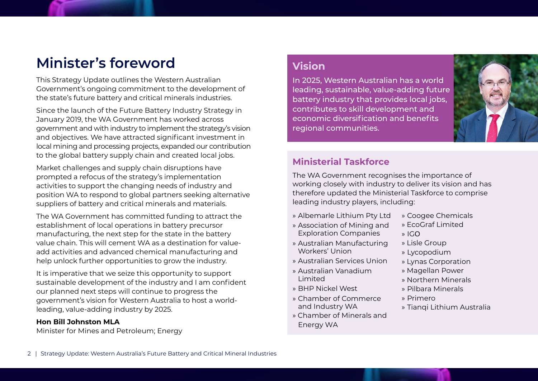# **Minister's foreword**

This Strategy Update outlines the Western Australian Government's ongoing commitment to the development of the state's future battery and critical minerals industries.

Since the launch of the Future Battery Industry Strategy in January 2019, the WA Government has worked across government and with industry to implement the strategy's vision and objectives. We have attracted significant investment in local mining and processing projects, expanded our contribution to the global battery supply chain and created local jobs.

Market challenges and supply chain disruptions have prompted a refocus of the strategy's implementation activities to support the changing needs of industry and position WA to respond to global partners seeking alternative suppliers of battery and critical minerals and materials.

The WA Government has committed funding to attract the establishment of local operations in battery precursor manufacturing, the next step for the state in the battery value chain. This will cement WA as a destination for valueadd activities and advanced chemical manufacturing and help unlock further opportunities to grow the industry.

It is imperative that we seize this opportunity to support sustainable development of the industry and I am confident our planned next steps will continue to progress the government's vision for Western Australia to host a worldleading, value-adding industry by 2025.

#### **Hon Bill Johnston MLA**

Minister for Mines and Petroleum; Energy

### **Vision**

In 2025, Western Australian has a world leading, sustainable, value-adding future battery industry that provides local jobs, contributes to skill development and economic diversification and benefits regional communities.



### **Ministerial Taskforce**

The WA Government recognises the importance of working closely with industry to deliver its vision and has therefore updated the Ministerial Taskforce to comprise leading industry players, including:

- » Albemarle Lithium Pty Ltd
- Exploration Companies » Association of Mining and
- Workers' Union » Australian Manufacturing
- » Australian Services Union
- Limited » Australian Vanadium
- » BHP Nickel West
- and Industry WA » Chamber of Commerce
- Energy WA » Chamber of Minerals and
- » Coogee Chemicals
- » EcoGraf Limited
- » IGO
- » Lisle Group
- » Lycopodium
- » Lynas Corporation
- » Magellan Power
- » Northern Minerals
- » Pilbara Minerals
- » Primero
- » Tianqi Lithium Australia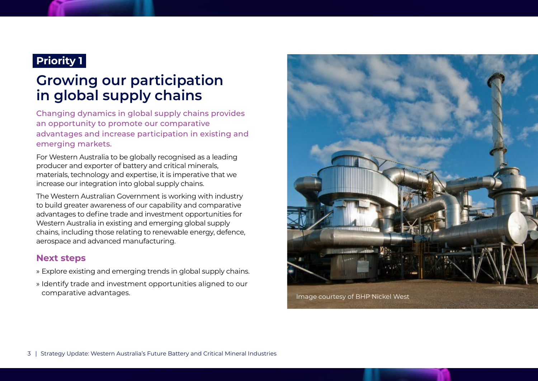# **Growing our participation in global supply chains**

Changing dynamics in global supply chains provides an opportunity to promote our comparative advantages and increase participation in existing and emerging markets.

For Western Australia to be globally recognised as a leading producer and exporter of battery and critical minerals, materials, technology and expertise, it is imperative that we increase our integration into global supply chains.

The Western Australian Government is working with industry to build greater awareness of our capability and comparative advantages to define trade and investment opportunities for Western Australia in existing and emerging global supply chains, including those relating to renewable energy, defence, aerospace and advanced manufacturing.

#### **Next steps**

- » Explore existing and emerging trends in global supply chains.
- » Identify trade and investment opportunities aligned to our comparative advantages. Image courtesy of BHP Nickel West

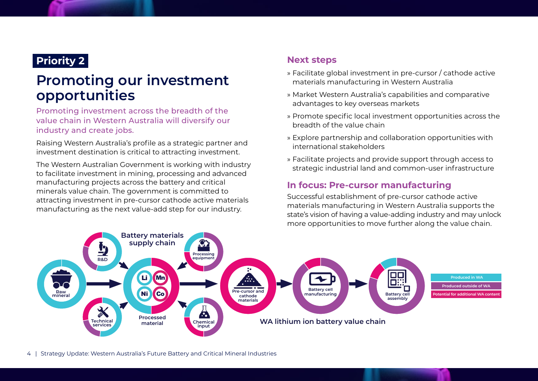# **Promoting our investment opportunities**

Promoting investment across the breadth of the value chain in Western Australia will diversify our industry and create jobs.

Raising Western Australia's profile as a strategic partner and investment destination is critical to attracting investment.

The Western Australian Government is working with industry to facilitate investment in mining, processing and advanced manufacturing projects across the battery and critical minerals value chain. The government is committed to attracting investment in pre-cursor cathode active materials manufacturing as the next value-add step for our industry.

### **Next steps**

- » Facilitate global investment in pre-cursor / cathode active materials manufacturing in Western Australia
- » Market Western Australia's capabilities and comparative advantages to key overseas markets
- » Promote specific local investment opportunities across the breadth of the value chain
- » Explore partnership and collaboration opportunities with international stakeholders
- » Facilitate projects and provide support through access to strategic industrial land and common-user infrastructure

### **In focus: Pre-cursor manufacturing**

Successful establishment of pre-cursor cathode active materials manufacturing in Western Australia supports the state's vision of having a value-adding industry and may unlock more opportunities to move further along the value chain.

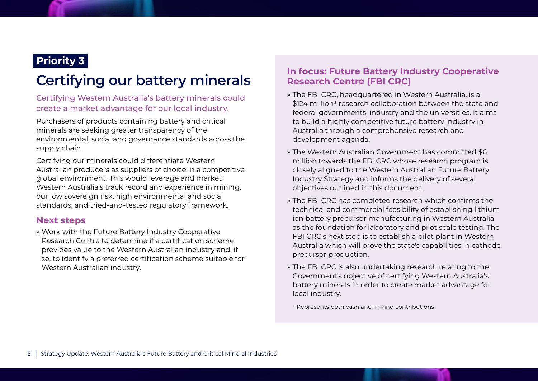# **Certifying our battery minerals**

#### Certifying Western Australia's battery minerals could create a market advantage for our local industry.

Purchasers of products containing battery and critical minerals are seeking greater transparency of the environmental, social and governance standards across the supply chain.

Certifying our minerals could differentiate Western Australian producers as suppliers of choice in a competitive global environment. This would leverage and market Western Australia's track record and experience in mining, our low sovereign risk, high environmental and social standards, and tried-and-tested regulatory framework.

#### **Next steps**

» Work with the Future Battery Industry Cooperative Research Centre to determine if a certification scheme provides value to the Western Australian industry and, if so, to identify a preferred certification scheme suitable for Western Australian industry.

### **In focus: Future Battery Industry Cooperative Research Centre (FBI CRC)**

- » The FBI CRC, headquartered in Western Australia, is a \$124 million<sup>1</sup> research collaboration between the state and federal governments, industry and the universities. It aims to build a highly competitive future battery industry in Australia through a comprehensive research and development agenda.
- » The Western Australian Government has committed \$6 million towards the FBI CRC whose research program is closely aligned to the Western Australian Future Battery Industry Strategy and informs the delivery of several objectives outlined in this document.
- » The FBI CRC has completed research which confirms the technical and commercial feasibility of establishing lithium ion battery precursor manufacturing in Western Australia as the foundation for laboratory and pilot scale testing. The FBI CRC's next step is to establish a pilot plant in Western Australia which will prove the state's capabilities in cathode precursor production.
- » The FBI CRC is also undertaking research relating to the Government's objective of certifying Western Australia's battery minerals in order to create market advantage for local industry.

<sup>1</sup> Represents both cash and in-kind contributions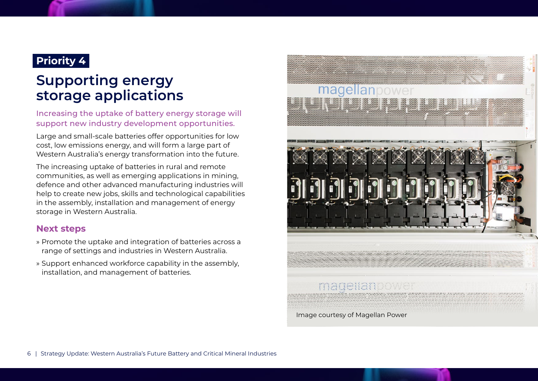### **Supporting energy storage applications**

Increasing the uptake of battery energy storage will support new industry development opportunities.

Large and small-scale batteries offer opportunities for low cost, low emissions energy, and will form a large part of Western Australia's energy transformation into the future.

The increasing uptake of batteries in rural and remote communities, as well as emerging applications in mining, defence and other advanced manufacturing industries will help to create new jobs, skills and technological capabilities in the assembly, installation and management of energy storage in Western Australia.

#### **Next steps**

- » Promote the uptake and integration of batteries across a range of settings and industries in Western Australia.
- » Support enhanced workforce capability in the assembly, installation, and management of batteries.